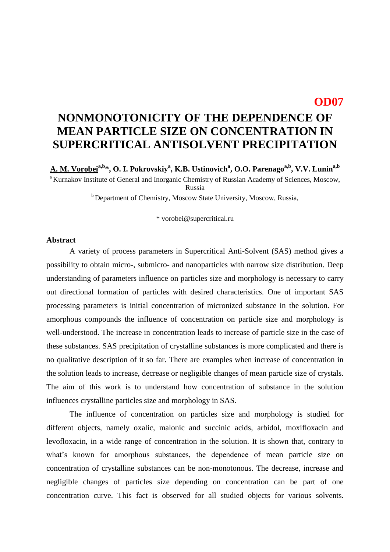## **OD07**

## **NONMONOTONICITY OF THE DEPENDENCE OF MEAN PARTICLE SIZE ON CONCENTRATION IN SUPERCRITICAL ANTISOLVENT PRECIPITATION**

**A. M. Vorobeia,b\*, O. I. Pokrovskiy<sup>a</sup> , K.B. Ustinovich<sup>a</sup> , O.O. Parenagoa,b, V.V. Lunina,b**  <sup>a</sup> Kurnakov Institute of General and Inorganic Chemistry of Russian Academy of Sciences, Moscow, Russia  $<sup>b</sup>$  Department of Chemistry, Moscow State University, Moscow, Russia,</sup>

\* vorobei@supercritical.ru

## **Abstract**

A variety of process parameters in Supercritical Anti-Solvent (SAS) method gives a possibility to obtain micro-, submicro- and nanoparticles with narrow size distribution. Deep understanding of parameters influence on particles size and morphology is necessary to carry out directional formation of particles with desired characteristics. One of important SAS processing parameters is initial concentration of micronized substance in the solution. For amorphous compounds the influence of concentration on particle size and morphology is well-understood. The increase in concentration leads to increase of particle size in the case of these substances. SAS precipitation of crystalline substances is more complicated and there is no qualitative description of it so far. There are examples when increase of concentration in the solution leads to increase, decrease or negligible changes of mean particle size of crystals. The aim of this work is to understand how concentration of substance in the solution influences crystalline particles size and morphology in SAS.

The influence of concentration on particles size and morphology is studied for different objects, namely oxalic, malonic and succinic acids, arbidol, moxifloxacin and levofloxacin, in a wide range of concentration in the solution. It is shown that, contrary to what's known for amorphous substances, the dependence of mean particle size on concentration of crystalline substances can be non-monotonous. The decrease, increase and negligible changes of particles size depending on concentration can be part of one concentration curve. This fact is observed for all studied objects for various solvents.